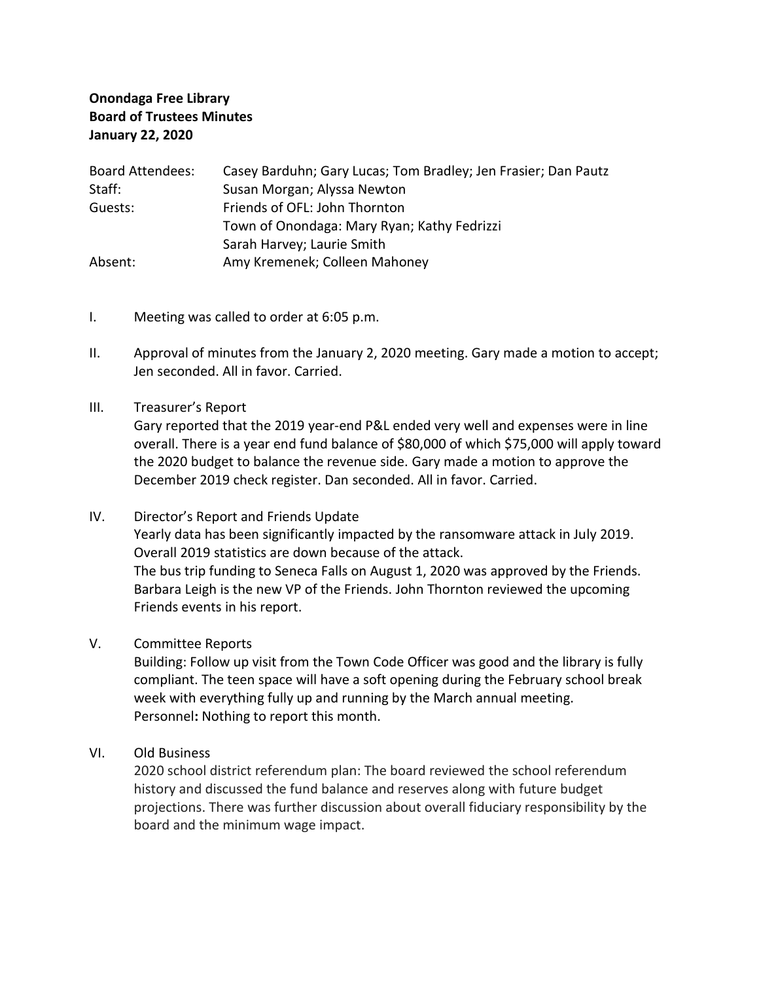## **Onondaga Free Library Board of Trustees Minutes January 22, 2020**

| <b>Board Attendees:</b> | Casey Barduhn; Gary Lucas; Tom Bradley; Jen Frasier; Dan Pautz |
|-------------------------|----------------------------------------------------------------|
| Staff:                  | Susan Morgan; Alyssa Newton                                    |
| Guests:                 | Friends of OFL: John Thornton                                  |
|                         | Town of Onondaga: Mary Ryan; Kathy Fedrizzi                    |
|                         | Sarah Harvey; Laurie Smith                                     |
| Absent:                 | Amy Kremenek; Colleen Mahoney                                  |

- I. Meeting was called to order at 6:05 p.m.
- II. Approval of minutes from the January 2, 2020 meeting. Gary made a motion to accept; Jen seconded. All in favor. Carried.
- III. Treasurer's Report

Gary reported that the 2019 year-end P&L ended very well and expenses were in line overall. There is a year end fund balance of \$80,000 of which \$75,000 will apply toward the 2020 budget to balance the revenue side. Gary made a motion to approve the December 2019 check register. Dan seconded. All in favor. Carried.

- IV. Director's Report and Friends Update Yearly data has been significantly impacted by the ransomware attack in July 2019. Overall 2019 statistics are down because of the attack. The bus trip funding to Seneca Falls on August 1, 2020 was approved by the Friends. Barbara Leigh is the new VP of the Friends. John Thornton reviewed the upcoming Friends events in his report.
- V. Committee Reports

Building: Follow up visit from the Town Code Officer was good and the library is fully compliant. The teen space will have a soft opening during the February school break week with everything fully up and running by the March annual meeting. Personnel**:** Nothing to report this month.

VI. Old Business

2020 school district referendum plan: The board reviewed the school referendum history and discussed the fund balance and reserves along with future budget projections. There was further discussion about overall fiduciary responsibility by the board and the minimum wage impact.